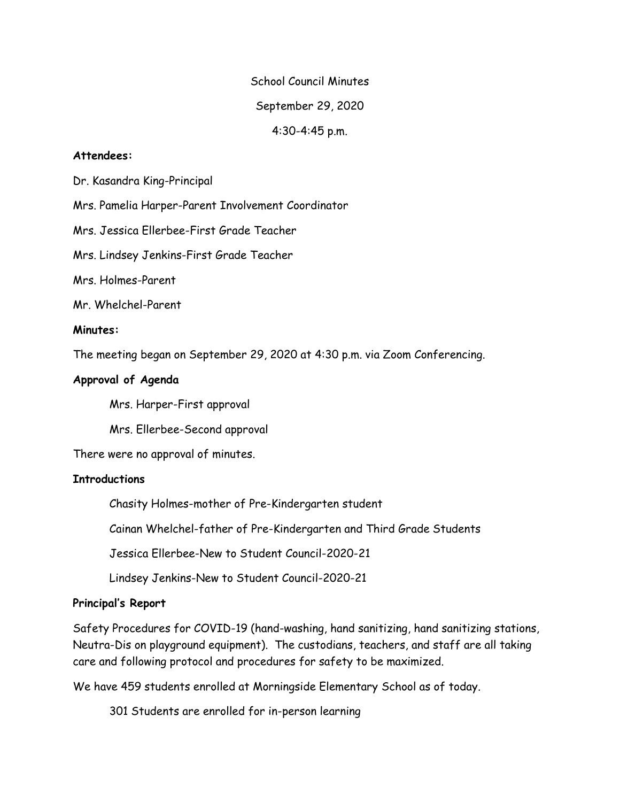School Council Minutes September 29, 2020

4:30-4:45 p.m.

### **Attendees:**

Dr. Kasandra King-Principal

Mrs. Pamelia Harper-Parent Involvement Coordinator

Mrs. Jessica Ellerbee-First Grade Teacher

Mrs. Lindsey Jenkins-First Grade Teacher

Mrs. Holmes-Parent

Mr. Whelchel-Parent

### **Minutes:**

The meeting began on September 29, 2020 at 4:30 p.m. via Zoom Conferencing.

### **Approval of Agenda**

Mrs. Harper-First approval

Mrs. Ellerbee-Second approval

There were no approval of minutes.

#### **Introductions**

Chasity Holmes-mother of Pre-Kindergarten student

Cainan Whelchel-father of Pre-Kindergarten and Third Grade Students

Jessica Ellerbee-New to Student Council-2020-21

Lindsey Jenkins-New to Student Council-2020-21

# **Principal's Report**

Safety Procedures for COVID-19 (hand-washing, hand sanitizing, hand sanitizing stations, Neutra-Dis on playground equipment). The custodians, teachers, and staff are all taking care and following protocol and procedures for safety to be maximized.

We have 459 students enrolled at Morningside Elementary School as of today.

301 Students are enrolled for in-person learning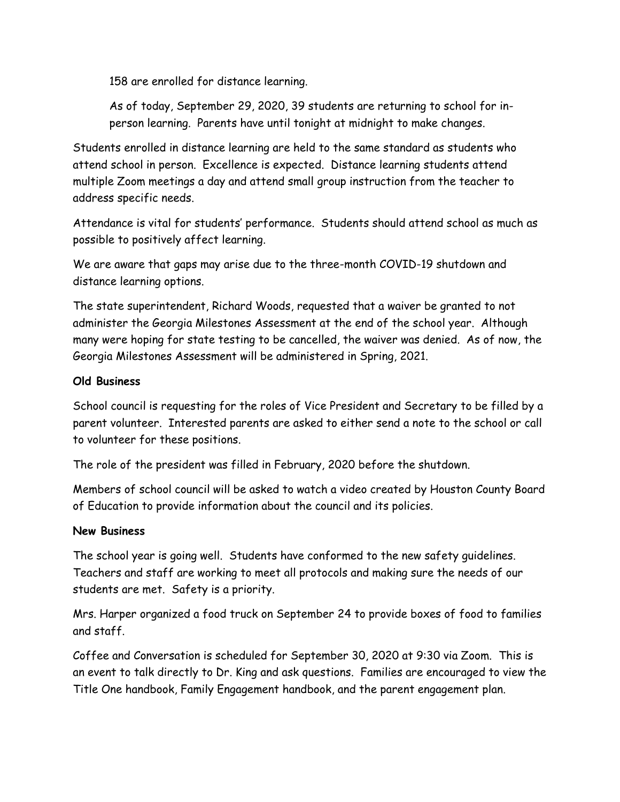158 are enrolled for distance learning.

As of today, September 29, 2020, 39 students are returning to school for inperson learning. Parents have until tonight at midnight to make changes.

Students enrolled in distance learning are held to the same standard as students who attend school in person. Excellence is expected. Distance learning students attend multiple Zoom meetings a day and attend small group instruction from the teacher to address specific needs.

Attendance is vital for students' performance. Students should attend school as much as possible to positively affect learning.

We are aware that gaps may arise due to the three-month COVID-19 shutdown and distance learning options.

The state superintendent, Richard Woods, requested that a waiver be granted to not administer the Georgia Milestones Assessment at the end of the school year. Although many were hoping for state testing to be cancelled, the waiver was denied. As of now, the Georgia Milestones Assessment will be administered in Spring, 2021.

# **Old Business**

School council is requesting for the roles of Vice President and Secretary to be filled by a parent volunteer. Interested parents are asked to either send a note to the school or call to volunteer for these positions.

The role of the president was filled in February, 2020 before the shutdown.

Members of school council will be asked to watch a video created by Houston County Board of Education to provide information about the council and its policies.

# **New Business**

The school year is going well. Students have conformed to the new safety guidelines. Teachers and staff are working to meet all protocols and making sure the needs of our students are met. Safety is a priority.

Mrs. Harper organized a food truck on September 24 to provide boxes of food to families and staff.

Coffee and Conversation is scheduled for September 30, 2020 at 9:30 via Zoom. This is an event to talk directly to Dr. King and ask questions. Families are encouraged to view the Title One handbook, Family Engagement handbook, and the parent engagement plan.